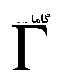# 66

### شماره ی ۱۹، تابستان ِ ۱۳۸۷

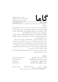www.gammajournal.ir

 $\overline{S}$ 

**ISSN 1735.1286** 

#### به نام خدا

**•** گاما فصل نامه ای است به زبان فارسی، در باره ی فیزیک. آن چه در گاما منتشر می شود بیش تر مقالهها ی ِ آموزشی، در زمینه ی ِ فرهنگ یا تاریخ ِ ِ فیزیک، یا در مورد ِ مسائل ِ فیزیک در ایران است، و قرار است جنبه ی ِ آموزشی و فرهنگی داشته باشد و برای دانشجویان ِ فیزیک یا دانش آموخته گان \_ فیزیک ، یا دستِکم بخش ی از آنها قابلاستفاده باشد. • مقالههای گاما نوعاً تألیفی اند. سعی بر این است که فقط مقالهها ی ِ کلاسیک ِ فیزیک، و نوشتهها ی ِ فیزیکپیشهها ی ِ بزرگ ترجمه شود. اگر میخواهید چیز ی را ترجمه کنید، لطفاً اول با هیئت \_ ویراستاران تماس بگیرید. • برا ی ِ تماس با گاما، و از جمله فرستادن ِ مقاله، لطفاً با یک ی از ویراستاران ِ گاما تماس بگیرید. • پذیرش ِ مقاله با هیئت ِ ویراستاران و بر اساس ِ روش ِ متداول ِ داوری توسّط ِ داور ِ ناشناس است. هیئت <sub>-</sub> ویراستاران یا مقاله را میپذیرد، یا رد میکند، امّا هرگز در نوشته ی ِ نویسنده دخل و تصرّف ی نمیکند. اگر به نظر ِ داور تغییر ی در مقاله لازم باشد، اعمال ِ این تغییر با خود ِ نویسنده(ها) است. • مقاله ی پذیرفته شده، پیش از چاپ، بر اساس به آخرین نسخه ای که نویسنده فرستاده حروفچینی می،شود و یس از تأیید <sub>-</sub> نویسنده است که چاپ می،ود. • © تمام ِ حقوق ِ مادّي و معنوي ي ِ آن چه در گاما منتشر ميشود متعلق است به گاما، مگر در موارد ی که صراحتاً مشخّص شده باشد.

ويراستاران: • امير \_ آقامحمّدي، دانش گاه \_ الزّهرا، تهران a\_aghamohammadi@yahoo.com • احمد ِ شریعتی (سردبیر)، دانشگاه ِ الزّهرا، تهران shariati@mailaps.org • عزیزاله ِ شفیعخانی، دانشگاه ِ الزّهرا، تهران ashafie@ipm.ir • امیرحسین ِ فتحاللهی، دانشگاه ِ الزّهرا، تهران ahfatol@gmail.com

 $^{-1}$ شمارگان : ۱۰۰۰ نسخه  $^1$ تاریخ \_ انتشار ١٣٨٧/٨/١٥ قيمت ٥٥٥ تومان. <sup>1</sup> ليتوگرافي، چاپ، و صحافي: سازمان چاپ و انتشارات وزارت فرهنگ و ارشاد اسلامي.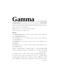## Gamma<br> **Gamma** no. 19, Summer 2008

www.gammajournal.ir ISSN 1735.1286

Gamma is a quarterly Persian magazine, devoted to educational and cultural articles in physics. Gamma is not a research journal.

**Address:** Gamma, P. O. Box 633, Tehran 19935, IRAN.

 $\odot$  2004 - 2008, Gamma, all rights reserved.

#### **Editors**

• **A. Aghamohammadi** Prof. of Physics, Alzahra University, Tehran 19938-91167, Iran. a aghamohammadi@yahoo.com

• **A. H. Fatollahi** Asoc. Prof. of Physics, Alzahra University, Tehran 19938-91167, Iran. ahfatol@gmail.com

• **A. Shafikhani** Asoc. Prof. of Physics, Alzahra University, Tehran 19938-91167, Iran. ashafie@ipm.ir

• **A. Shariati** Asoc. Prof. of Physics, Alzahra University, Tehran 19938-91167, Iran. shariati@mailaps.org

اشتراک (چهار شماره) عادی ۱۰۰۰۰ تومان، دانشجویی ۲۰۰۰ تومان، موّسسهها ۰۰۰۵ تومان .  1 ( #\$   h- G #\*- C 5 6 i ( g  \*  ( 065 ) <sup>N</sup> 6 i ( g  \* 0 A( Q-& \$-5  $\cdots$  . The same state  $\cdots$ 

ہر اوپر اسپر اس کے اسپر کے اس کے سیاسی کے اس کے اس کے اس کے اس کے اس کے اس کے اس کے اس کے اس کے اس کے اس کے اس دانش کاه ِ الزهرا (کُد ِ ۲۲۱) به نام ِ احمد شریعتی، بریزید. اصل ِ رسید ِ بانک را پیش ِ خود  $\bullet$  . The state is the state of the state of the state of the state of the state of the state of  $\bullet$  . The state of the state of the state of the state of the state of the state of the state of the state of the state of ا از معتبر از پورن بی که واریز شما اشکار از اسم و تشایع ای کامل از کیرنما بی مجله (نصف کنار پشتی را هم بنويسيد).